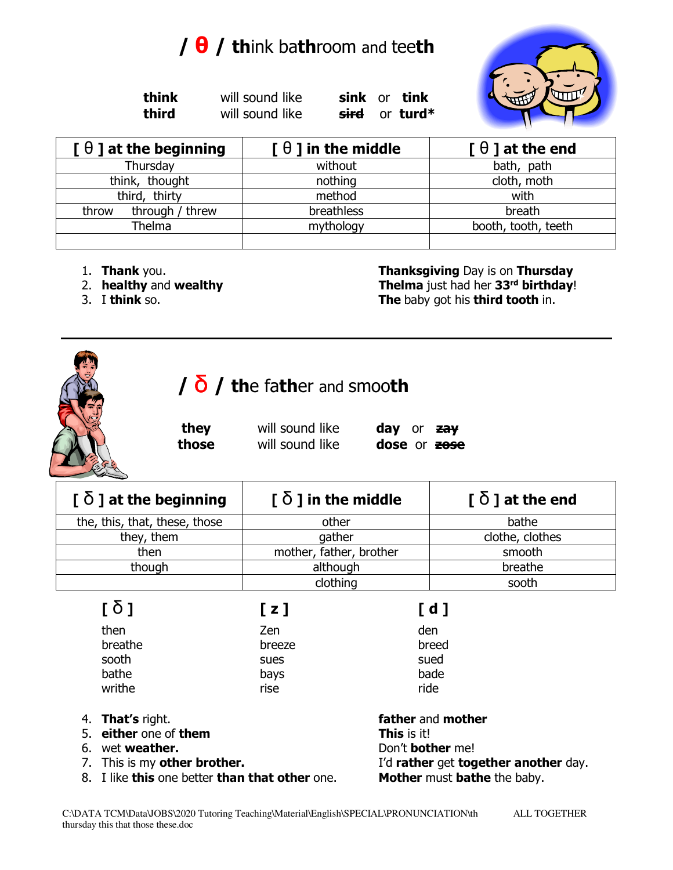## **/ θ / th**ink ba**th**room and tee**th**

 **think** will sound like **sink** or **tink third** will sound like **sird** or **turd\*** 



| $[ \theta ]$ at the beginning | $\lceil \theta \rceil$ in the middle | $[ \theta ]$ at the end |
|-------------------------------|--------------------------------------|-------------------------|
| Thursday                      | without                              | bath, path              |
| think, thought                | nothing                              | cloth, moth             |
| third, thirty                 | method                               | with                    |
| through / threw<br>throw      | breathless                           | breath                  |
| <b>Thelma</b>                 | mythology                            | booth, tooth, teeth     |
|                               |                                      |                         |

- 
- 
- 

1. **Thank** you. **Thanksgiving** Day is on **Thursday** 2. **healthy** and **wealthy Thelma** just had her **33rd birthday**! 3. I **think** so. **The** baby got his **third tooth** in.



## **/** δ **/ th**e fa**th**er and smoo**th**

 **they** will sound like **day** or **zay those** will sound like **dose** or **zose** 

clothing a cost of the sooth sooth clothing

**[** δ **] at the beginning [** δ **] in the middle [** δ **] at the end**  the, this, that, these, those  $\vert$  other  $\vert$  bathe they, them a clothes clothes clothes clothes clothes clothes then **hother, father, brother** hother smooth though although although breathe

| $[\delta]$            | [z]    | [d]               |  |
|-----------------------|--------|-------------------|--|
| then                  | Zen    | den               |  |
| breathe               | breeze | breed             |  |
| sooth                 | sues   | sued              |  |
| bathe                 | bays   | bade              |  |
| writhe                | rise   | ride              |  |
| 4. That's right.      |        | father and mother |  |
| 5. either one of them |        | This is it!       |  |

- 
- 
- 
- 8. I like **this** one better **than that other** one. **Mother** must **bathe** the baby.

6. wet **weather.** Don't **bother** me! 7. This is my **other brother.** I'd **rather** get **together another** day.